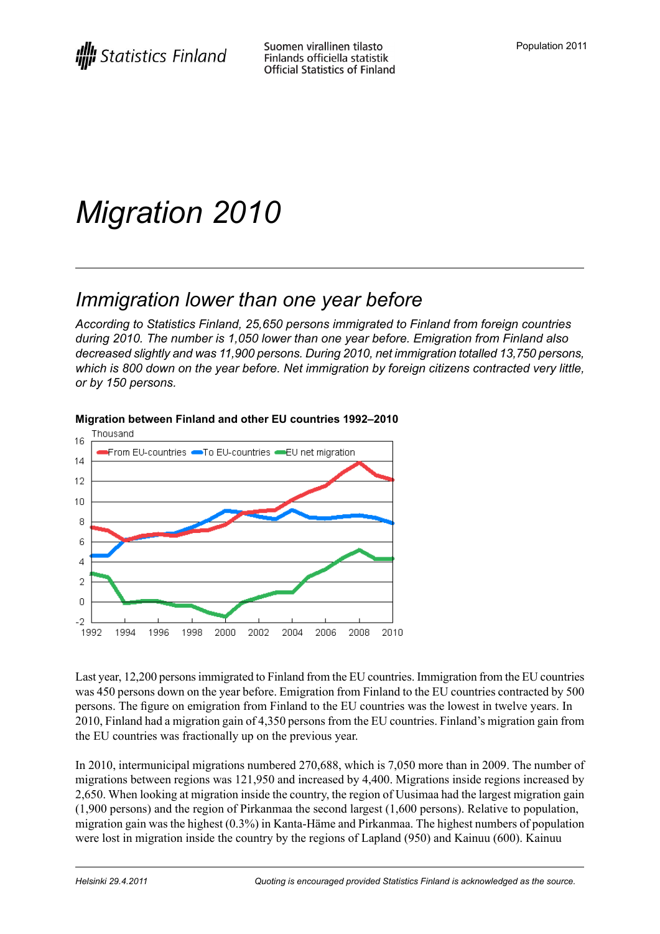# *Migration 2010*

## *Immigration lower than one year before*

*According to Statistics Finland, 25,650 persons immigrated to Finland from foreign countries during 2010. The number is 1,050 lower than one year before. Emigration from Finland also decreased slightly and was 11,900 persons. During 2010, net immigration totalled 13,750 persons, which is 800 down on the year before. Net immigration by foreign citizens contracted very little, or by 150 persons.*



#### **Migration between Finland and other EU countries 1992–2010**

Last year, 12,200 personsimmigrated to Finland from the EU countries. Immigration from the EU countries was 450 persons down on the year before. Emigration from Finland to the EU countries contracted by 500 persons. The figure on emigration from Finland to the EU countries was the lowest in twelve years. In 2010, Finland had a migration gain of 4,350 persons from the EU countries. Finland's migration gain from the EU countries was fractionally up on the previous year.

In 2010, intermunicipal migrations numbered 270,688, which is 7,050 more than in 2009. The number of migrations between regions was 121,950 and increased by 4,400. Migrations inside regions increased by 2,650. When looking at migration inside the country, the region of Uusimaa had the largest migration gain (1,900 persons) and the region of Pirkanmaa the second largest (1,600 persons). Relative to population, migration gain was the highest (0.3%) in Kanta-Häme and Pirkanmaa. The highest numbers of population were lost in migration inside the country by the regions of Lapland (950) and Kainuu (600). Kainuu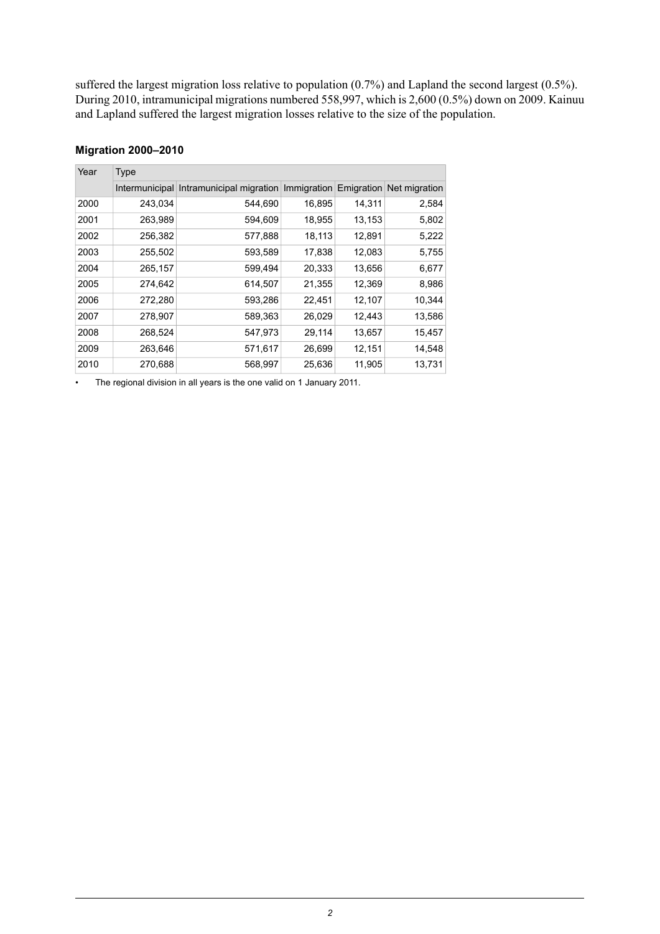suffered the largest migration loss relative to population (0.7%) and Lapland the second largest (0.5%). During 2010, intramunicipal migrations numbered 558,997, which is 2,600 (0.5%) down on 2009. Kainuu and Lapland suffered the largest migration losses relative to the size of the population.

| Year | <b>Type</b> |                                                                              |        |        |        |
|------|-------------|------------------------------------------------------------------------------|--------|--------|--------|
|      |             | Intermunicipal Intramunicipal migration Immigration Emigration Net migration |        |        |        |
| 2000 | 243,034     | 544,690                                                                      | 16,895 | 14,311 | 2,584  |
| 2001 | 263,989     | 594,609                                                                      | 18,955 | 13,153 | 5,802  |
| 2002 | 256,382     | 577,888                                                                      | 18,113 | 12,891 | 5,222  |
| 2003 | 255,502     | 593,589                                                                      | 17,838 | 12,083 | 5,755  |
| 2004 | 265,157     | 599,494                                                                      | 20,333 | 13,656 | 6,677  |
| 2005 | 274,642     | 614,507                                                                      | 21,355 | 12,369 | 8,986  |
| 2006 | 272,280     | 593,286                                                                      | 22,451 | 12,107 | 10,344 |
| 2007 | 278,907     | 589,363                                                                      | 26,029 | 12,443 | 13,586 |
| 2008 | 268,524     | 547,973                                                                      | 29,114 | 13,657 | 15,457 |
| 2009 | 263,646     | 571,617                                                                      | 26,699 | 12,151 | 14,548 |
| 2010 | 270,688     | 568,997                                                                      | 25,636 | 11,905 | 13,731 |

#### **Migration 2000–2010**

• The regional division in all years is the one valid on 1 January 2011.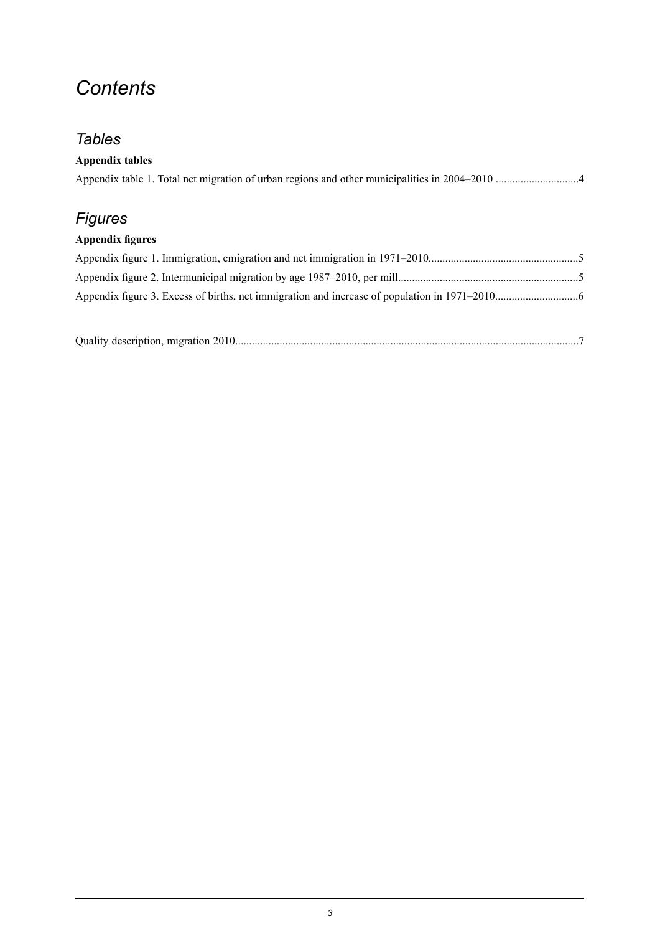## *Contents*

## *Tables*

| <b>Appendix tables</b>  |  |
|-------------------------|--|
| <b>Figures</b>          |  |
| <b>Appendix figures</b> |  |
|                         |  |
|                         |  |
|                         |  |
|                         |  |

|--|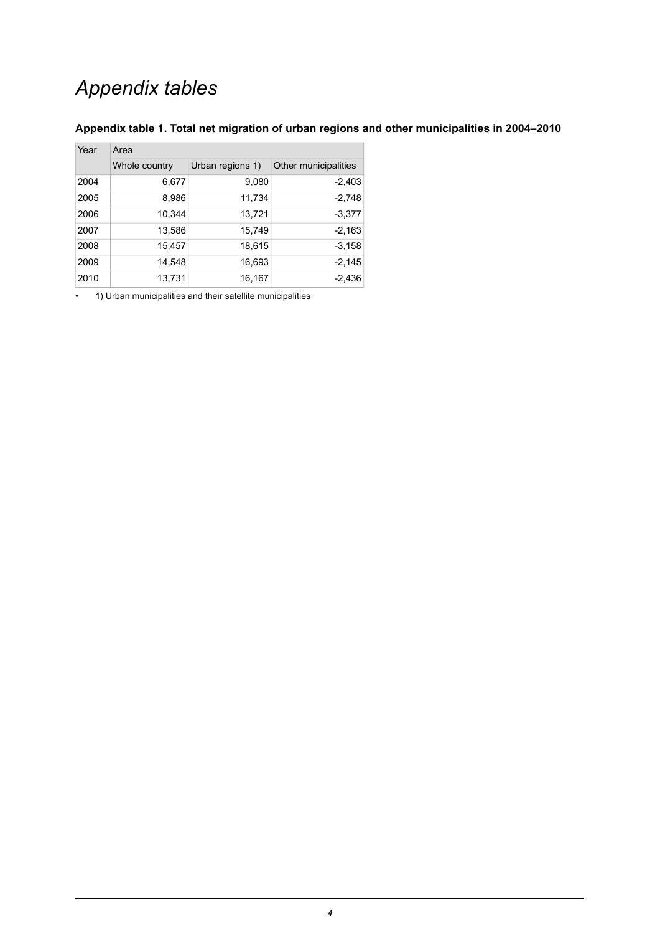## *Appendix tables*

| Year | Area          |                  |                      |  |  |  |
|------|---------------|------------------|----------------------|--|--|--|
|      | Whole country | Urban regions 1) | Other municipalities |  |  |  |
| 2004 | 6,677         | 9,080            | $-2,403$             |  |  |  |
| 2005 | 8,986         | 11,734           | $-2,748$             |  |  |  |
| 2006 | 10,344        | 13,721           | $-3,377$             |  |  |  |
| 2007 | 13,586        | 15,749           | $-2,163$             |  |  |  |
| 2008 | 15,457        | 18,615           | $-3,158$             |  |  |  |
| 2009 | 14,548        | 16,693           | $-2,145$             |  |  |  |
| 2010 | 13,731        | 16,167           | $-2,436$             |  |  |  |

#### <span id="page-3-0"></span>**Appendix table 1. Total net migration of urban regions and other municipalities in 2004–2010**

• 1) Urban municipalities and their satellite municipalities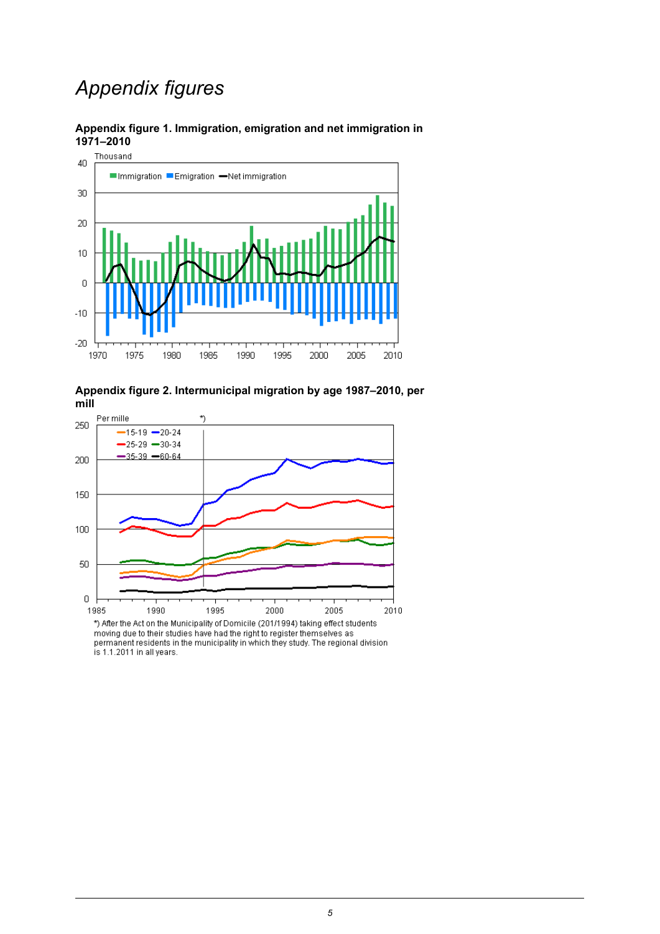## *Appendix figures*



<span id="page-4-0"></span>

<span id="page-4-1"></span>

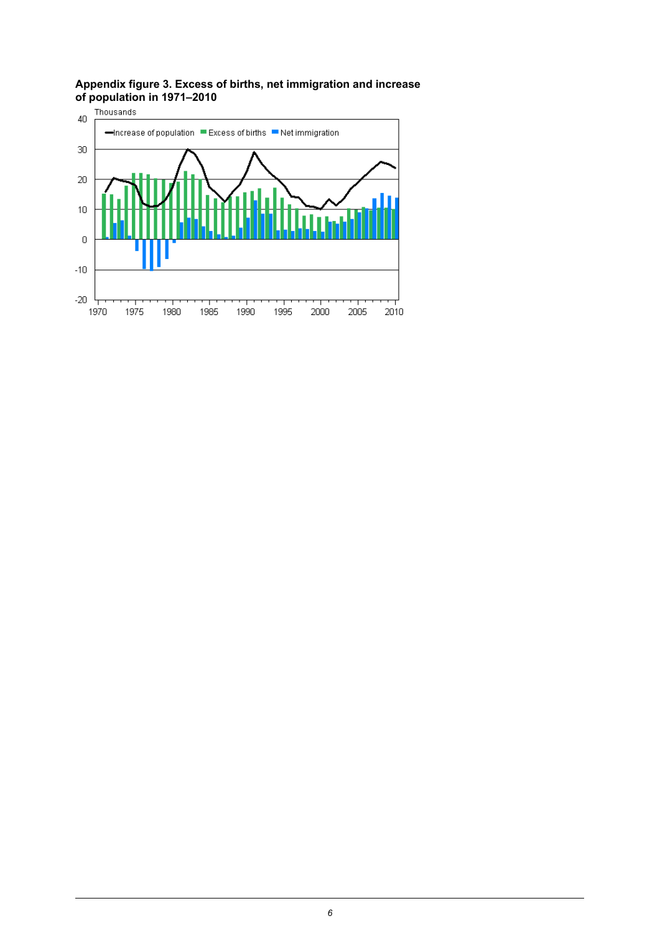#### <span id="page-5-0"></span>**Appendix figure 3. Excess of births, net immigration and increase of population in 1971–2010**

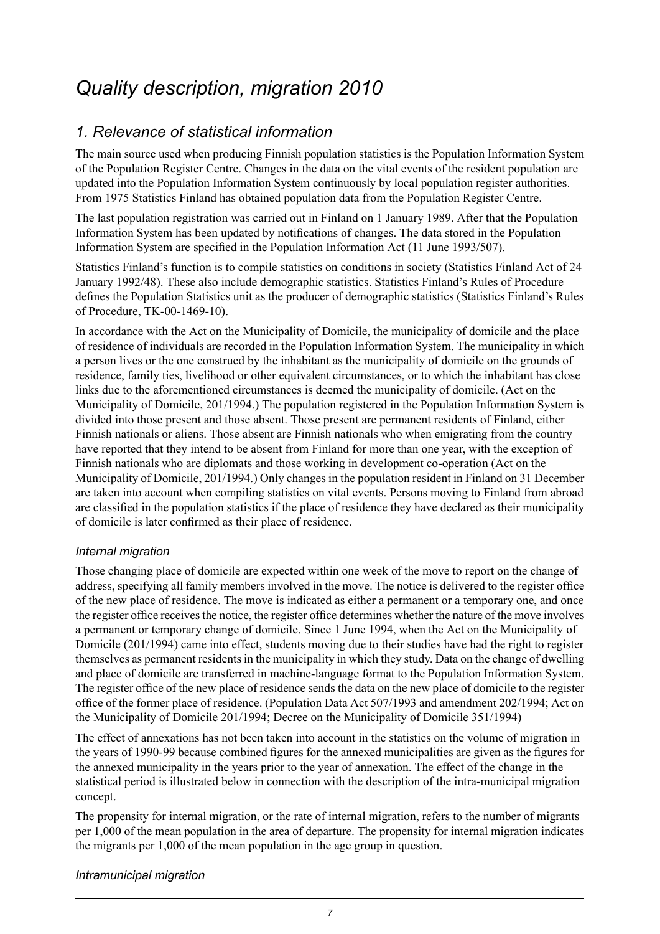## <span id="page-6-0"></span>*Quality description, migration 2010*

## *1. Relevance of statistical information*

The main source used when producing Finnish population statistics is the Population Information System of the Population Register Centre. Changes in the data on the vital events of the resident population are updated into the Population Information System continuously by local population register authorities. From 1975 Statistics Finland has obtained population data from the Population Register Centre.

The last population registration was carried out in Finland on 1 January 1989. After that the Population Information System has been updated by notifications of changes. The data stored in the Population Information System are specified in the Population Information Act (11 June 1993/507).

Statistics Finland's function is to compile statistics on conditions in society (Statistics Finland Act of 24 January 1992/48). These also include demographic statistics. Statistics Finland's Rules of Procedure defines the Population Statistics unit as the producer of demographic statistics (Statistics Finland's Rules of Procedure, TK-00-1469-10).

In accordance with the Act on the Municipality of Domicile, the municipality of domicile and the place of residence of individuals are recorded in the Population Information System. The municipality in which a person lives or the one construed by the inhabitant as the municipality of domicile on the grounds of residence, family ties, livelihood or other equivalent circumstances, or to which the inhabitant has close links due to the aforementioned circumstances is deemed the municipality of domicile. (Act on the Municipality of Domicile, 201/1994.) The population registered in the Population Information System is divided into those present and those absent. Those present are permanent residents of Finland, either Finnish nationals or aliens. Those absent are Finnish nationals who when emigrating from the country have reported that they intend to be absent from Finland for more than one year, with the exception of Finnish nationals who are diplomats and those working in development co-operation (Act on the Municipality of Domicile, 201/1994.) Only changes in the population resident in Finland on 31 December are taken into account when compiling statistics on vital events. Persons moving to Finland from abroad are classified in the population statistics if the place of residence they have declared as their municipality of domicile is later confirmed as their place of residence.

#### *Internal migration*

Those changing place of domicile are expected within one week of the move to report on the change of address, specifying all family members involved in the move. The notice is delivered to the register office of the new place of residence. The move is indicated as either a permanent or a temporary one, and once the register office receives the notice, the register office determines whether the nature of the move involves a permanent or temporary change of domicile. Since 1 June 1994, when the Act on the Municipality of Domicile (201/1994) came into effect, students moving due to their studies have had the right to register themselves as permanent residents in the municipality in which they study. Data on the change of dwelling and place of domicile are transferred in machine-language format to the Population Information System. The register office of the new place of residence sends the data on the new place of domicile to the register office of the former place of residence. (Population Data Act 507/1993 and amendment 202/1994; Act on the Municipality of Domicile 201/1994; Decree on the Municipality of Domicile 351/1994)

The effect of annexations has not been taken into account in the statistics on the volume of migration in the years of 1990-99 because combined figures for the annexed municipalities are given as the figures for the annexed municipality in the years prior to the year of annexation. The effect of the change in the statistical period is illustrated below in connection with the description of the intra-municipal migration concept.

The propensity for internal migration, or the rate of internal migration, refers to the number of migrants per 1,000 of the mean population in the area of departure. The propensity for internal migration indicates the migrants per 1,000 of the mean population in the age group in question.

#### *Intramunicipal migration*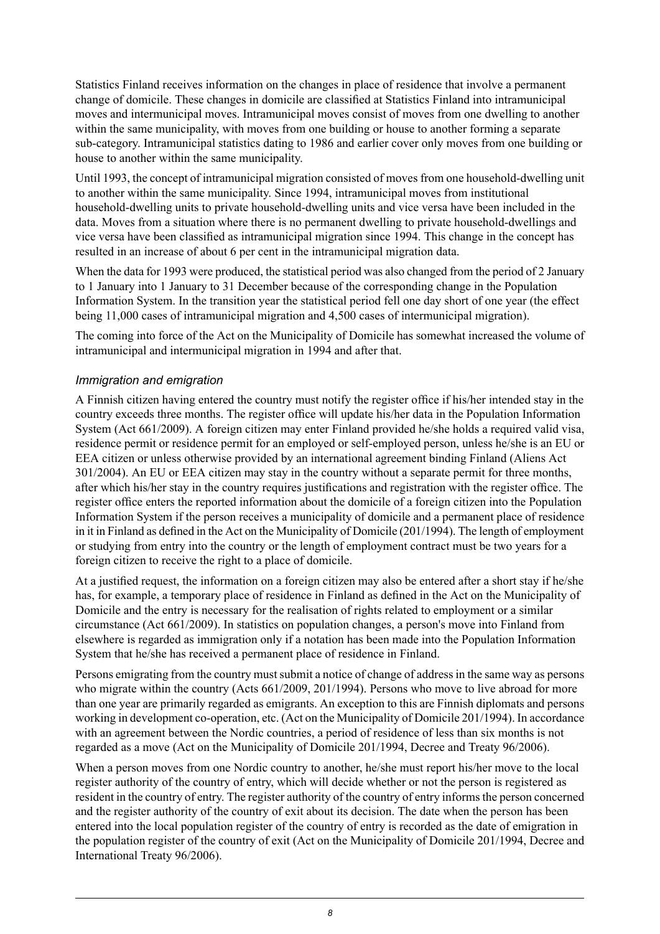Statistics Finland receives information on the changes in place of residence that involve a permanent change of domicile. These changes in domicile are classified at Statistics Finland into intramunicipal moves and intermunicipal moves. Intramunicipal moves consist of moves from one dwelling to another within the same municipality, with moves from one building or house to another forming a separate sub-category. Intramunicipal statistics dating to 1986 and earlier cover only moves from one building or house to another within the same municipality.

Until 1993, the concept of intramunicipal migration consisted of moves from one household-dwelling unit to another within the same municipality. Since 1994, intramunicipal moves from institutional household-dwelling units to private household-dwelling units and vice versa have been included in the data. Moves from a situation where there is no permanent dwelling to private household-dwellings and vice versa have been classified as intramunicipal migration since 1994. This change in the concept has resulted in an increase of about 6 per cent in the intramunicipal migration data.

When the data for 1993 were produced, the statistical period was also changed from the period of 2 January to 1 January into 1 January to 31 December because of the corresponding change in the Population Information System. In the transition year the statistical period fell one day short of one year (the effect being 11,000 cases of intramunicipal migration and 4,500 cases of intermunicipal migration).

The coming into force of the Act on the Municipality of Domicile has somewhat increased the volume of intramunicipal and intermunicipal migration in 1994 and after that.

#### *Immigration and emigration*

A Finnish citizen having entered the country must notify the register office if his/her intended stay in the country exceeds three months. The register office will update his/her data in the Population Information System (Act 661/2009). A foreign citizen may enter Finland provided he/she holds a required valid visa, residence permit or residence permit for an employed or self-employed person, unless he/she is an EU or EEA citizen or unless otherwise provided by an international agreement binding Finland (Aliens Act 301/2004). An EU or EEA citizen may stay in the country without a separate permit for three months, after which his/her stay in the country requires justifications and registration with the register office. The register office enters the reported information about the domicile of a foreign citizen into the Population Information System if the person receives a municipality of domicile and a permanent place of residence in it in Finland as defined in the Act on the Municipality of Domicile (201/1994). The length of employment or studying from entry into the country or the length of employment contract must be two years for a foreign citizen to receive the right to a place of domicile.

At a justified request, the information on a foreign citizen may also be entered after a short stay if he/she has, for example, a temporary place of residence in Finland as defined in the Act on the Municipality of Domicile and the entry is necessary for the realisation of rights related to employment or a similar circumstance (Act 661/2009). In statistics on population changes, a person's move into Finland from elsewhere is regarded as immigration only if a notation has been made into the Population Information System that he/she has received a permanent place of residence in Finland.

Persons emigrating from the country must submit a notice of change of address in the same way as persons who migrate within the country (Acts 661/2009, 201/1994). Persons who move to live abroad for more than one year are primarily regarded as emigrants. An exception to this are Finnish diplomats and persons working in development co-operation, etc. (Act on the Municipality of Domicile 201/1994). In accordance with an agreement between the Nordic countries, a period of residence of less than six months is not regarded as a move (Act on the Municipality of Domicile 201/1994, Decree and Treaty 96/2006).

When a person moves from one Nordic country to another, he/she must report his/her move to the local register authority of the country of entry, which will decide whether or not the person is registered as resident in the country of entry. The register authority of the country of entry informsthe person concerned and the register authority of the country of exit about its decision. The date when the person has been entered into the local population register of the country of entry is recorded as the date of emigration in the population register of the country of exit (Act on the Municipality of Domicile 201/1994, Decree and International Treaty 96/2006).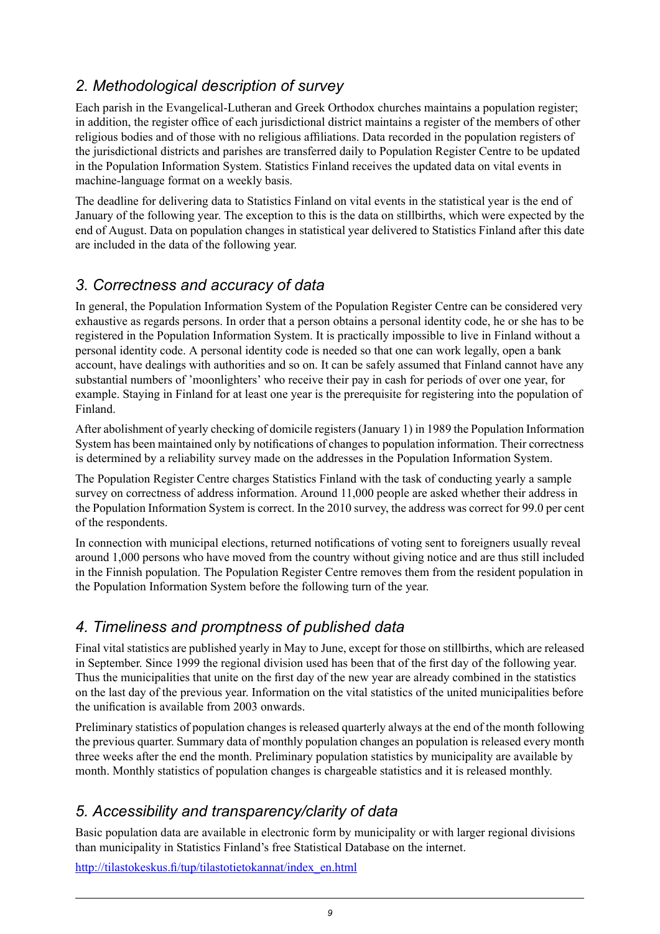## *2. Methodological description of survey*

Each parish in the Evangelical-Lutheran and Greek Orthodox churches maintains a population register; in addition, the register office of each jurisdictional district maintains a register of the members of other religious bodies and of those with no religious affiliations. Data recorded in the population registers of the jurisdictional districts and parishes are transferred daily to Population Register Centre to be updated in the Population Information System. Statistics Finland receives the updated data on vital events in machine-language format on a weekly basis.

The deadline for delivering data to Statistics Finland on vital events in the statistical year is the end of January of the following year. The exception to this is the data on stillbirths, which were expected by the end of August. Data on population changes in statistical year delivered to Statistics Finland after this date are included in the data of the following year.

### *3. Correctness and accuracy of data*

In general, the Population Information System of the Population Register Centre can be considered very exhaustive as regards persons. In order that a person obtains a personal identity code, he or she has to be registered in the Population Information System. It is practically impossible to live in Finland without a personal identity code. A personal identity code is needed so that one can work legally, open a bank account, have dealings with authorities and so on. It can be safely assumed that Finland cannot have any substantial numbers of 'moonlighters' who receive their pay in cash for periods of over one year, for example. Staying in Finland for at least one year is the prerequisite for registering into the population of Finland.

After abolishment of yearly checking of domicile registers (January 1) in 1989 the Population Information System has been maintained only by notifications of changes to population information. Their correctness is determined by a reliability survey made on the addresses in the Population Information System.

The Population Register Centre charges Statistics Finland with the task of conducting yearly a sample survey on correctness of address information. Around 11,000 people are asked whether their address in the Population Information System is correct. In the 2010 survey, the address was correct for 99.0 per cent of the respondents.

In connection with municipal elections, returned notifications of voting sent to foreigners usually reveal around 1,000 persons who have moved from the country without giving notice and are thus still included in the Finnish population. The Population Register Centre removes them from the resident population in the Population Information System before the following turn of the year.

### *4. Timeliness and promptness of published data*

Final vital statistics are published yearly in May to June, except for those on stillbirths, which are released in September. Since 1999 the regional division used has been that of the first day of the following year. Thus the municipalities that unite on the first day of the new year are already combined in the statistics on the last day of the previous year. Information on the vital statistics of the united municipalities before the unification is available from 2003 onwards.

Preliminary statistics of population changes is released quarterly always at the end of the month following the previous quarter. Summary data of monthly population changes an population is released every month three weeks after the end the month. Preliminary population statistics by municipality are available by month. Monthly statistics of population changes is chargeable statistics and it is released monthly.

## *5. Accessibility and transparency/clarity of data*

Basic population data are available in electronic form by municipality or with larger regional divisions than municipality in Statistics Finland's free Statistical Database on the internet.

[http://tilastokeskus.fi/tup/tilastotietokannat/index\\_en.html](http://tilastokeskus.fi/tup/tilastotietokannat/index_en.html)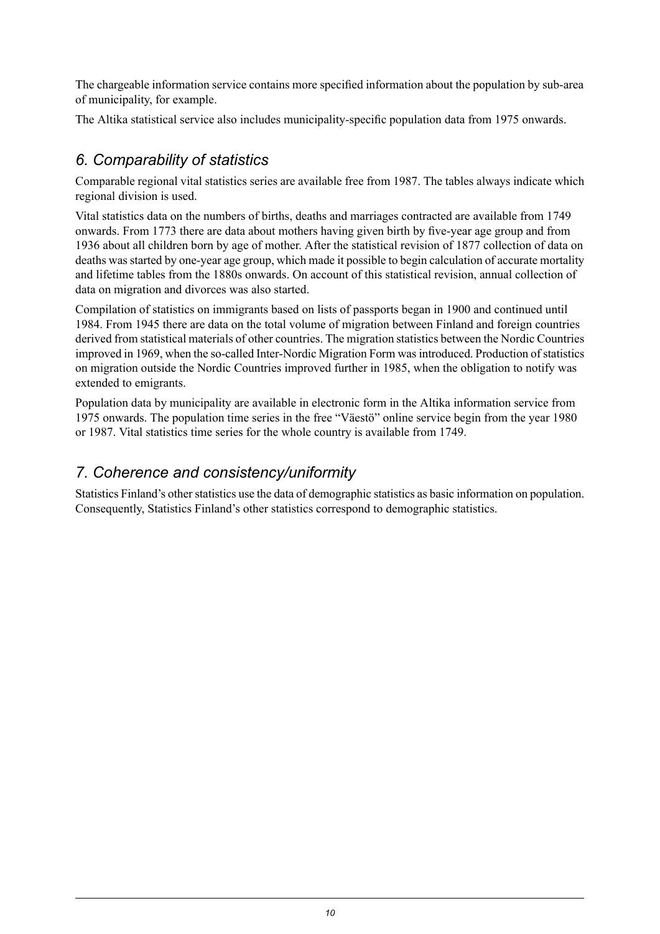The chargeable information service contains more specified information about the population by sub-area of municipality, for example.

The Altika statistical service also includes municipality-specific population data from 1975 onwards.

### *6. Comparability of statistics*

Comparable regional vital statistics series are available free from 1987. The tables always indicate which regional division is used.

Vital statistics data on the numbers of births, deaths and marriages contracted are available from 1749 onwards. From 1773 there are data about mothers having given birth by five-year age group and from 1936 about all children born by age of mother. After the statistical revision of 1877 collection of data on deaths was started by one-year age group, which made it possible to begin calculation of accurate mortality and lifetime tables from the 1880s onwards. On account of this statistical revision, annual collection of data on migration and divorces was also started.

Compilation of statistics on immigrants based on lists of passports began in 1900 and continued until 1984. From 1945 there are data on the total volume of migration between Finland and foreign countries derived from statistical materials of other countries. The migration statistics between the Nordic Countries improved in 1969, when the so-called Inter-Nordic Migration Form was introduced. Production of statistics on migration outside the Nordic Countries improved further in 1985, when the obligation to notify was extended to emigrants.

Population data by municipality are available in electronic form in the Altika information service from 1975 onwards. The population time series in the free "Väestö" online service begin from the year 1980 or 1987. Vital statistics time series for the whole country is available from 1749.

### *7. Coherence and consistency/uniformity*

Statistics Finland's other statistics use the data of demographic statistics as basic information on population. Consequently, Statistics Finland's other statistics correspond to demographic statistics.